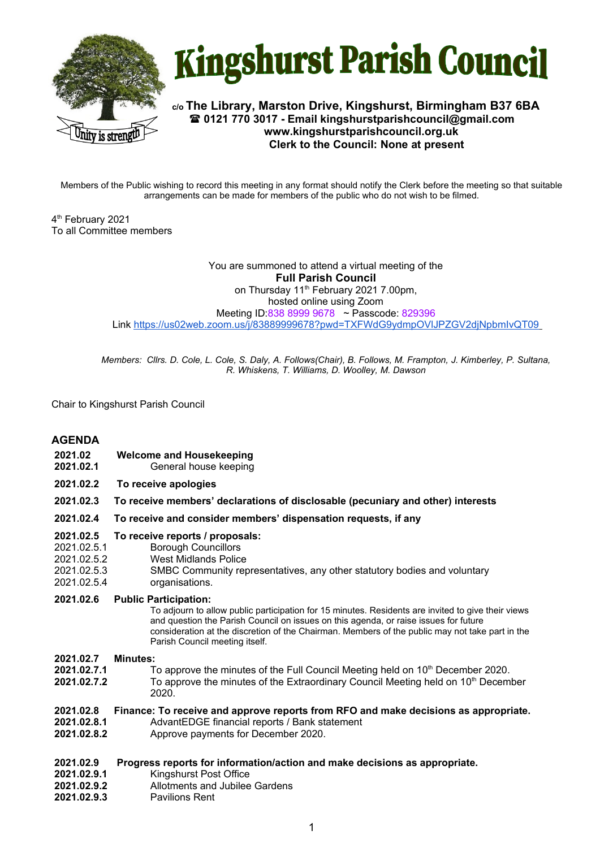



**c/o The Library, Marston Drive, Kingshurst, Birmingham B37 6BA 0121 770 3017 - Email kingshurstparishcouncil@gmail.com www.kingshurstparishcouncil.org.uk Clerk to the Council: None at present**

Members of the Public wishing to record this meeting in any format should notify the Clerk before the meeting so that suitable arrangements can be made for members of the public who do not wish to be filmed.

4 th February 2021 To all Committee members

> You are summoned to attend a virtual meeting of the **Full Parish Council**  on Thursday 11<sup>th</sup> February 2021 7.00pm, hosted online using Zoom Meeting ID:838 8999 9678 ~ Passcode: 829396 Link <https://us02web.zoom.us/j/83889999678?pwd=TXFWdG9ydmpOVlJPZGV2djNpbmIvQT09>

*Members: Cllrs. D. Cole, L. Cole, S. Daly, A. Follows(Chair), B. Follows, M. Frampton, J. Kimberley, P. Sultana, R. Whiskens, T. Williams, D. Woolley, M. Dawson*

Chair to Kingshurst Parish Council

# **AGENDA**

- **2021.02 Welcome and Housekeeping**
- **2021.02.1** General house keeping
- **2021.02.2 To receive apologies**
- **2021.02.3 To receive members' declarations of disclosable (pecuniary and other) interests**
- **2021.02.4 To receive and consider members' dispensation requests, if any**

#### **2021.02.5 To receive reports / proposals:**

- 2021.02.5.1 Borough Councillors
- 2021.02.5.2 West Midlands Police
- 2021.02.5.3 SMBC Community representatives, any other statutory bodies and voluntary
- 2021.02.5.4 organisations.
- **2021.02.6 Public Participation:**

To adjourn to allow public participation for 15 minutes. Residents are invited to give their views and question the Parish Council on issues on this agenda, or raise issues for future consideration at the discretion of the Chairman. Members of the public may not take part in the Parish Council meeting itself.

### **2021.02.7 Minutes:**

- **2021.02.7.1** To approve the minutes of the Full Council Meeting held on 10<sup>th</sup> December 2020.
- **2021.02.7.2** To approve the minutes of the Extraordinary Council Meeting held on 10<sup>th</sup> December 2020.

### **2021.02.8 Finance: To receive and approve reports from RFO and make decisions as appropriate.**

- **2021.02.8.1** AdvantEDGE financial reports / Bank statement
- **2021.02.8.2** Approve payments for December 2020.
- **2021.02.9 Progress reports for information/action and make decisions as appropriate.**

#### **2021.02.9.1** Kingshurst Post Office

- **2021.02.9.2** Allotments and Jubilee Gardens
- **2021.02.9.3** Pavilions Rent